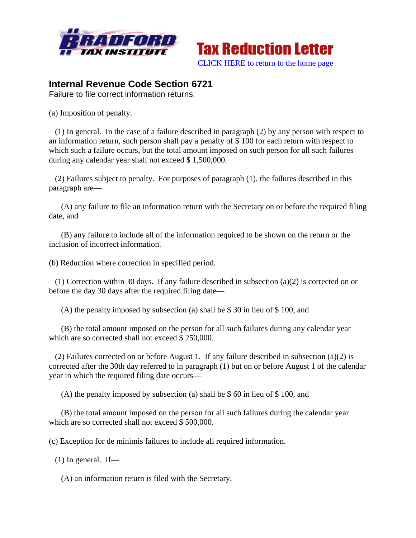



## **Internal Revenue Code Section 6721**

Failure to file correct information returns.

(a) Imposition of penalty.

 (1) In general. In the case of a failure described in paragraph (2) by any person with respect to an information return, such person shall pay a penalty of \$ 100 for each return with respect to which such a failure occurs, but the total amount imposed on such person for all such failures during any calendar year shall not exceed \$ 1,500,000.

 (2) Failures subject to penalty. For purposes of paragraph (1), the failures described in this paragraph are—

 (A) any failure to file an information return with the Secretary on or before the required filing date, and

 (B) any failure to include all of the information required to be shown on the return or the inclusion of incorrect information.

(b) Reduction where correction in specified period.

 (1) Correction within 30 days. If any failure described in subsection (a)(2) is corrected on or before the day 30 days after the required filing date—

(A) the penalty imposed by subsection (a) shall be \$ 30 in lieu of \$ 100, and

 (B) the total amount imposed on the person for all such failures during any calendar year which are so corrected shall not exceed \$ 250,000.

 (2) Failures corrected on or before August 1. If any failure described in subsection (a)(2) is corrected after the 30th day referred to in paragraph (1) but on or before August 1 of the calendar year in which the required filing date occurs—

(A) the penalty imposed by subsection (a) shall be \$ 60 in lieu of \$ 100, and

 (B) the total amount imposed on the person for all such failures during the calendar year which are so corrected shall not exceed \$ 500,000.

(c) Exception for de minimis failures to include all required information.

 $(1)$  In general. If—

(A) an information return is filed with the Secretary,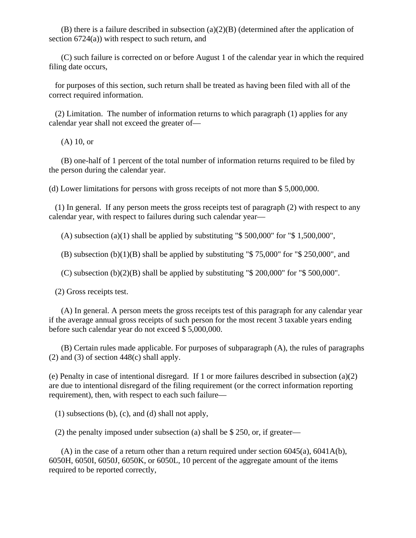(B) there is a failure described in subsection  $(a)(2)(B)$  (determined after the application of section 6724(a)) with respect to such return, and

 (C) such failure is corrected on or before August 1 of the calendar year in which the required filing date occurs,

 for purposes of this section, such return shall be treated as having been filed with all of the correct required information.

 (2) Limitation. The number of information returns to which paragraph (1) applies for any calendar year shall not exceed the greater of—

(A) 10, or

 (B) one-half of 1 percent of the total number of information returns required to be filed by the person during the calendar year.

(d) Lower limitations for persons with gross receipts of not more than \$ 5,000,000.

 (1) In general. If any person meets the gross receipts test of paragraph (2) with respect to any calendar year, with respect to failures during such calendar year—

(A) subsection (a)(1) shall be applied by substituting " $$500,000$ " for " $$1,500,000$ ",

(B) subsection (b)(1)(B) shall be applied by substituting " $$75,000$ " for " $$250,000$ ", and

(C) subsection  $(b)(2)(B)$  shall be applied by substituting "\$ 200,000" for "\$ 500,000".

(2) Gross receipts test.

 (A) In general. A person meets the gross receipts test of this paragraph for any calendar year if the average annual gross receipts of such person for the most recent 3 taxable years ending before such calendar year do not exceed \$ 5,000,000.

 (B) Certain rules made applicable. For purposes of subparagraph (A), the rules of paragraphs (2) and (3) of section  $448(c)$  shall apply.

(e) Penalty in case of intentional disregard. If 1 or more failures described in subsection (a)(2) are due to intentional disregard of the filing requirement (or the correct information reporting requirement), then, with respect to each such failure—

(1) subsections (b), (c), and (d) shall not apply,

(2) the penalty imposed under subsection (a) shall be \$ 250, or, if greater—

(A) in the case of a return other than a return required under section  $6045(a)$ ,  $6041A(b)$ , 6050H, 6050I, 6050J, 6050K, or 6050L, 10 percent of the aggregate amount of the items required to be reported correctly,